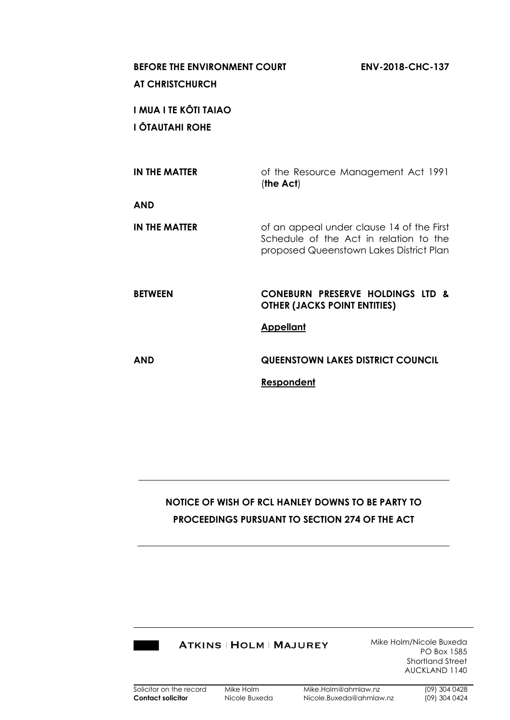# **BEFORE THE ENVIRONMENT COURT ENV-2018-CHC-137**

## **AT CHRISTCHURCH**

**I MUA I TE KŌTI TAIAO I ŌTAUTAHI ROHE**

| IN THE MATTER        | of the Resource Management Act 1991<br>(the Act)                                                                               |
|----------------------|--------------------------------------------------------------------------------------------------------------------------------|
| <b>AND</b>           |                                                                                                                                |
| <b>IN THE MATTER</b> | of an appeal under clause 14 of the First<br>Schedule of the Act in relation to the<br>proposed Queenstown Lakes District Plan |
| <b>BETWEEN</b>       | <b>CONEBURN PRESERVE HOLDINGS LTD &amp;</b><br><b>OTHER (JACKS POINT ENTITIES)</b>                                             |
|                      | <b>Appellant</b>                                                                                                               |
|                      |                                                                                                                                |
| <b>AND</b>           | <b>QUEENSTOWN LAKES DISTRICT COUNCIL</b>                                                                                       |

## **NOTICE OF WISH OF RCL HANLEY DOWNS TO BE PARTY TO PROCEEDINGS PURSUANT TO SECTION 274 OF THE ACT**



Mike Holm/Nicole Buxeda PO Box 1585 Shortland Street AUCKLAND 1140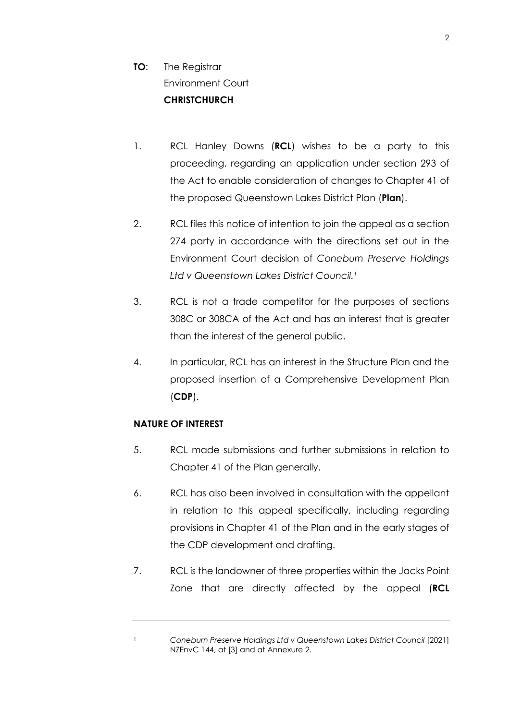## **TO:** The Registrar Environment Court **CHRISTCHURCH**

- 1. RCL Hanley Downs (**RCL**) wishes to be a party to this proceeding, regarding an application under section 293 of the Act to enable consideration of changes to Chapter 41 of the proposed Queenstown Lakes District Plan (**Plan**).
- 2. RCL files this notice of intention to join the appeal as a section 274 party in accordance with the directions set out in the Environment Court decision of *Coneburn Preserve Holdings Ltd v Queenstown Lakes District Council. 1*
- 3. RCL is not a trade competitor for the purposes of sections 308C or 308CA of the Act and has an interest that is greater than the interest of the general public.
- 4. In particular, RCL has an interest in the Structure Plan and the proposed insertion of a Comprehensive Development Plan (**CDP**).

## **NATURE OF INTEREST**

- 5. RCL made submissions and further submissions in relation to Chapter 41 of the Plan generally.
- 6. RCL has also been involved in consultation with the appellant in relation to this appeal specifically, including regarding provisions in Chapter 41 of the Plan and in the early stages of the CDP development and drafting.
- 7. RCL is the landowner of three properties within the Jacks Point Zone that are directly affected by the appeal (**RCL**

<sup>1</sup> *Coneburn Preserve Holdings Ltd v Queenstown Lakes District Council* [2021] NZEnvC 144, at [3] and at Annexure 2.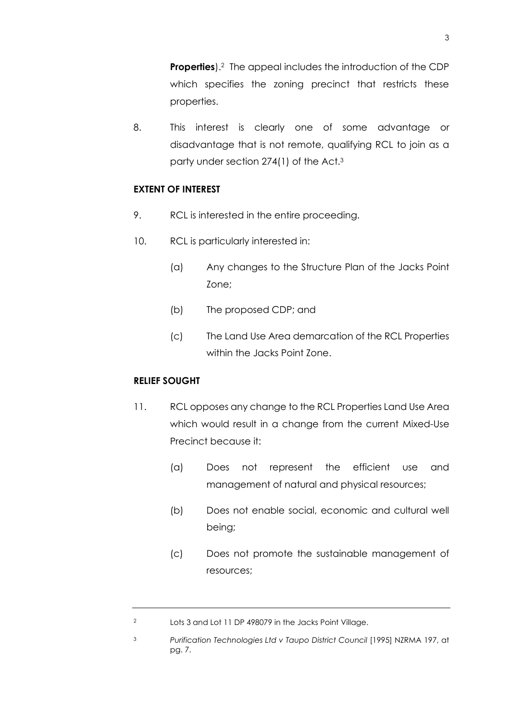**Properties**).<sup>2</sup> The appeal includes the introduction of the CDP which specifies the zoning precinct that restricts these properties.

8. This interest is clearly one of some advantage or disadvantage that is not remote, qualifying RCL to join as a party under section 274(1) of the Act.<sup>3</sup>

### **EXTENT OF INTEREST**

- 9. RCL is interested in the entire proceeding.
- 10. RCL is particularly interested in:
	- (a) Any changes to the Structure Plan of the Jacks Point Zone;
	- (b) The proposed CDP; and
	- (c) The Land Use Area demarcation of the RCL Properties within the Jacks Point Zone.

#### **RELIEF SOUGHT**

- 11. RCL opposes any change to the RCL Properties Land Use Area which would result in a change from the current Mixed-Use Precinct because it:
	- (a) Does not represent the efficient use and management of natural and physical resources;
	- (b) Does not enable social, economic and cultural well being;
	- (c) Does not promote the sustainable management of resources;

<sup>2</sup> Lots 3 and Lot 11 DP 498079 in the Jacks Point Village.

<sup>3</sup> *Purification Technologies Ltd v Taupo District Council* [1995] NZRMA 197, at pg. 7.